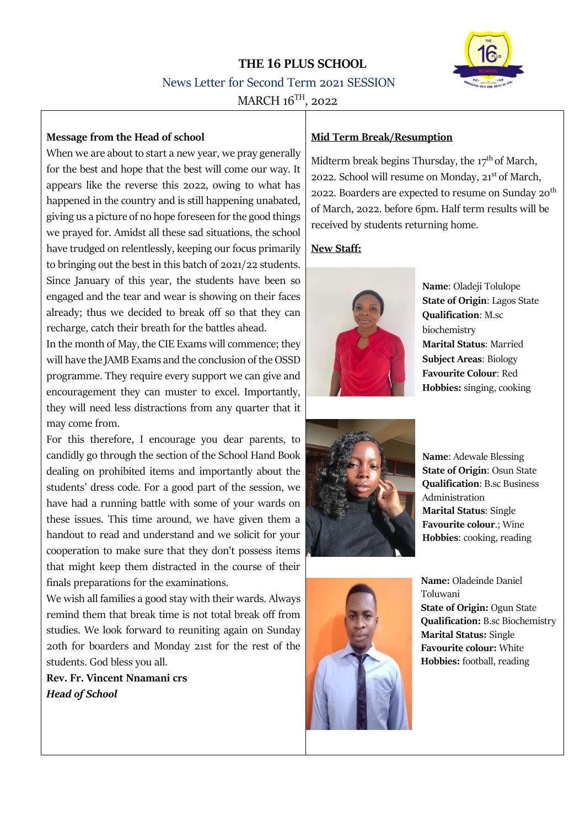# **THE 16 PLUS SCHOOL** News Letter for Second Term 2021 SESSION  $MARCH$  16<sup>TH</sup>, 2022



## **Message from the Head of school**

When we are about to start a new year, we pray generally for the best and hope that the best will come our way. It appears like the reverse this 2022, owing to what has happened in the country and is still happening unabated, giving us a picture of no hope foreseen for the good things we prayed for. Amidst all these sad situations, the school have trudged on relentlessly, keeping our focus primarily to bringing out the best in this batch of 2021/22 students. Since January of this year, the students have been so engaged and the tear and wear is showing on their faces already; thus we decided to break off so that they can recharge, catch their breath for the battles ahead.

In the month of May, the CIE Exams will commence; they will have the JAMB Exams and the conclusion of the OSSD programme. They require every support we can give and encouragement they can muster to excel. Importantly, they will need less distractions from any quarter that it may come from.

For this therefore, I encourage you dear parents, to candidly go through the section of the School Hand Book dealing on prohibited items and importantly about the students' dress code. For a good part of the session, we have had a running battle with some of your wards on these issues. This time around, we have given them a handout to read and understand and we solicit for your cooperation to make sure that they don't possess items that might keep them distracted in the course of their finals preparations for the examinations.

We wish all families a good stay with their wards. Always remind them that break time is not total break off from studies. We look forward to reuniting again on Sunday 20th for boarders and Monday 21st for the rest of the students. God bless you all.

**Rev. Fr. Vincent Nnamani crs** *Head of School*

## **Mid Term Break/Resumption**

Midterm break begins Thursday, the  $17<sup>th</sup>$  of March, 2022. School will resume on Monday, 21<sup>st</sup> of March, 2022. Boarders are expected to resume on Sunday  $20^{th}$ of March, 2022. before 6pm. Half term results will be received by students returning home.

# **New Staff:**



**Name**: Oladeji Tolulope **State of Origin**: Lagos State **Qualification**: M.sc biochemistry **Marital Status**: Married **Subject Areas**: Biology **Favourite Colour**: Red **Hobbies:** singing, cooking



**Name**: Adewale Blessing **State of Origin**: Osun State **Qualification**: B.sc Business Administration **Marital Status**: Single **Favourite colour**.; Wine **Hobbies**: cooking, reading



**Name:** Oladeinde Daniel Toluwani **State of Origin:** Ogun State **Qualification:** B.sc Biochemistry **Marital Status:** Single **Favourite colour:** White **Hobbies:** football, reading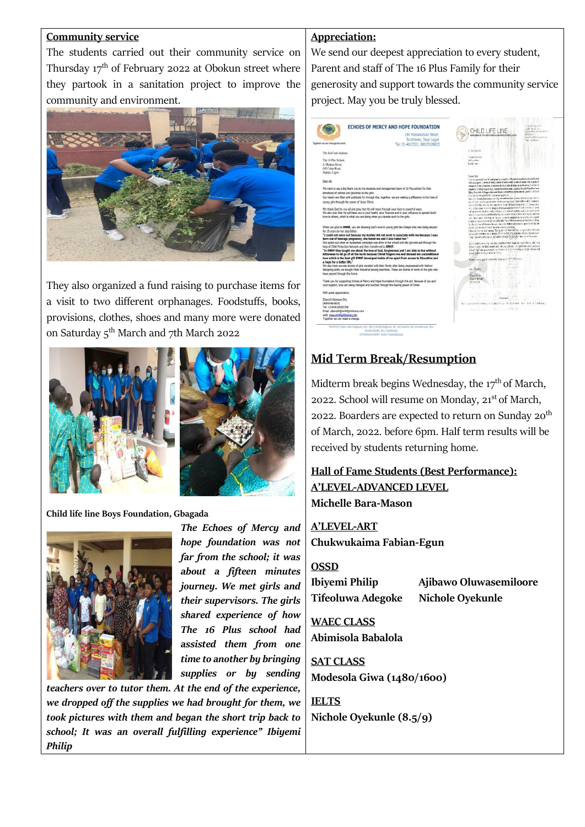#### **Community service**

The students carried out their community service on Thursday  $17<sup>th</sup>$  of February 2022 at Obokun street where they partook in a sanitation project to improve the community and environment.



They also organized a fund raising to purchase items for a visit to two different orphanages. Foodstuffs, books, provisions, clothes, shoes and many more were donated on Saturday 5<sup>th</sup> March and 7th March 2022



**Child life line Boys Foundation, Gbagada**



*The Echoes of Mercy and hope foundation was not far from the school; it was about a fifteen minutes journey. We met girls and their supervisors. The girls shared experience of how The 16 Plus school had assisted them from one time to another by bringing supplies or by sending* 

*teachers over to tutor them. At the end of the experience, we dropped off the supplies we had brought for them, we took pictures with them and began the short trip back to school; It was an overall fulfilling experience" Ibiyemi Philip*

## **Appreciation:**

We send our deepest appreciation to every student, Parent and staff of The 16 Plus Family for their generosity and support towards the community service project. May you be truly blessed.



# **Mid Term Break/Resumption**

Midterm break begins Wednesday, the  $17<sup>th</sup>$  of March, 2022. School will resume on Monday, 21<sup>st</sup> of March, 2022. Boarders are expected to return on Sunday  $20^{th}$ of March, 2022. before 6pm. Half term results will be received by students returning home.

**Hall of Fame Students (Best Performance): A'LEVEL-ADVANCED LEVEL Michelle Bara-Mason**

**A'LEVEL-ART Chukwukaima Fabian-Egun**

#### **OSSD**

**Tifeoluwa Adegoke Nichole Oyekunle**

**Ibiyemi Philip Ajibawo Oluwasemiloore**

**WAEC CLASS Abimisola Babalola**

**SAT CLASS Modesola Giwa (1480/1600)**

**IELTS Nichole Oyekunle (8.5/9)**